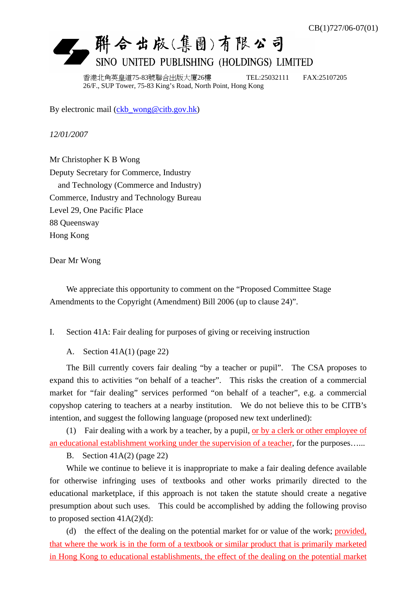## L. 聯合出版(集團)有限公司 SINO UNITED PUBLISHING (HOLDINGS) LIMITED

香港北角英皇道75-83號聯合出版大廈26樓 TEL:25032111 FAX:25107205 26/F., SUP Tower, 75-83 King's Road, North Point, Hong Kong

By electronic mail (ckb\_wong@citb.gov.hk)

*12/01/2007* 

Mr Christopher K B Wong Deputy Secretary for Commerce, Industry and Technology (Commerce and Industry) Commerce, Industry and Technology Bureau Level 29, One Pacific Place 88 Queensway Hong Kong

Dear Mr Wong

 We appreciate this opportunity to comment on the "Proposed Committee Stage Amendments to the Copyright (Amendment) Bill 2006 (up to clause 24)".

I. Section 41A: Fair dealing for purposes of giving or receiving instruction

A. Section 41A(1) (page 22)

 The Bill currently covers fair dealing "by a teacher or pupil". The CSA proposes to expand this to activities "on behalf of a teacher". This risks the creation of a commercial market for "fair dealing" services performed "on behalf of a teacher", e.g. a commercial copyshop catering to teachers at a nearby institution. We do not believe this to be CITB's intention, and suggest the following language (proposed new text underlined):

 (1) Fair dealing with a work by a teacher, by a pupil, or by a clerk or other employee of an educational establishment working under the supervision of a teacher, for the purposes…...

B. Section  $41A(2)$  (page 22)

 While we continue to believe it is inappropriate to make a fair dealing defence available for otherwise infringing uses of textbooks and other works primarily directed to the educational marketplace, if this approach is not taken the statute should create a negative presumption about such uses. This could be accomplished by adding the following proviso to proposed section  $41A(2)(d)$ :

 (d) the effect of the dealing on the potential market for or value of the work; provided, that where the work is in the form of a textbook or similar product that is primarily marketed in Hong Kong to educational establishments, the effect of the dealing on the potential market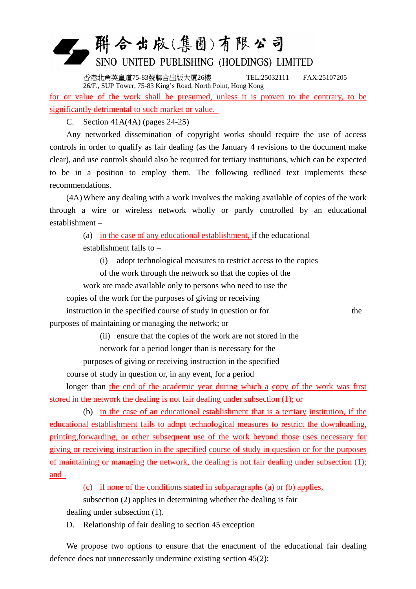## 一 群合出版(集團)有限公司 SINO UNITED PUBLISHING (HOLDINGS) LIMITED

香港北角英皇道75-83號聯合出版大廈26樓 TEL:25032111 FAX:25107205 26/F., SUP Tower, 75-83 King's Road, North Point, Hong Kong for or value of the work shall be presumed, unless it is proven to the contrary, to be significantly detrimental to such market or value.

C. Section 41A(4A) (pages 24-25)

 Any networked dissemination of copyright works should require the use of access controls in order to qualify as fair dealing (as the January 4 revisions to the document make clear), and use controls should also be required for tertiary institutions, which can be expected to be in a position to employ them. The following redlined text implements these recommendations.

 (4A) Where any dealing with a work involves the making available of copies of the work through a wire or wireless network wholly or partly controlled by an educational establishment –

(a) in the case of any educational establishment, if the educational

establishment fails to –

(i) adopt technological measures to restrict access to the copies

of the work through the network so that the copies of the

work are made available only to persons who need to use the

copies of the work for the purposes of giving or receiving

instruction in the specified course of study in question or for the purposes of maintaining or managing the network; or

(ii) ensure that the copies of the work are not stored in the

network for a period longer than is necessary for the

purposes of giving or receiving instruction in the specified

course of study in question or, in any event, for a period

 longer than the end of the academic year during which a copy of the work was first stored in the network the dealing is not fair dealing under subsection (1); or

 (b) in the case of an educational establishment that is a tertiary institution, if the educational establishment fails to adopt technological measures to restrict the downloading, printing,forwarding, or other subsequent use of the work beyond those uses necessary for giving or receiving instruction in the specified course of study in question or for the purposes of maintaining or managing the network, the dealing is not fair dealing under subsection (1); and

(c) if none of the conditions stated in subparagraphs (a) or (b) applies,

subsection (2) applies in determining whether the dealing is fair

dealing under subsection (1).

D. Relationship of fair dealing to section 45 exception

 We propose two options to ensure that the enactment of the educational fair dealing defence does not unnecessarily undermine existing section 45(2):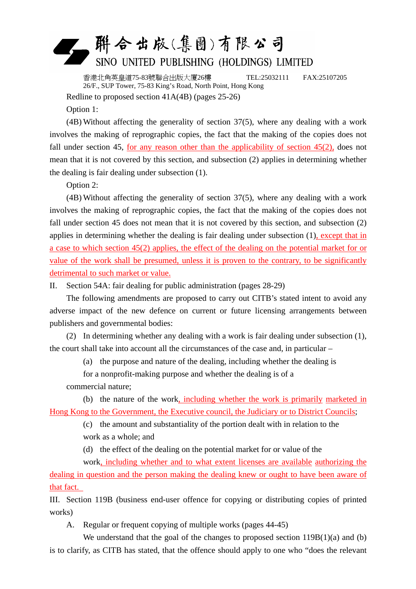

香港北角英皇道75-83號聯合出版大廈26樓 TEL:25032111 FAX:25107205 26/F., SUP Tower, 75-83 King's Road, North Point, Hong Kong

Redline to proposed section 41A(4B) (pages 25-26)

Option 1:

 (4B) Without affecting the generality of section 37(5), where any dealing with a work involves the making of reprographic copies, the fact that the making of the copies does not fall under section 45, for any reason other than the applicability of section  $45(2)$ , does not mean that it is not covered by this section, and subsection (2) applies in determining whether the dealing is fair dealing under subsection (1).

Option 2:

 (4B) Without affecting the generality of section 37(5), where any dealing with a work involves the making of reprographic copies, the fact that the making of the copies does not fall under section 45 does not mean that it is not covered by this section, and subsection (2) applies in determining whether the dealing is fair dealing under subsection (1), except that in a case to which section 45(2) applies, the effect of the dealing on the potential market for or value of the work shall be presumed, unless it is proven to the contrary, to be significantly detrimental to such market or value.

II. Section 54A: fair dealing for public administration (pages 28-29)

 The following amendments are proposed to carry out CITB's stated intent to avoid any adverse impact of the new defence on current or future licensing arrangements between publishers and governmental bodies:

 (2) In determining whether any dealing with a work is fair dealing under subsection (1), the court shall take into account all the circumstances of the case and, in particular –

(a) the purpose and nature of the dealing, including whether the dealing is

for a nonprofit-making purpose and whether the dealing is of a

commercial nature;

 (b) the nature of the work, including whether the work is primarily marketed in Hong Kong to the Government, the Executive council, the Judiciary or to District Councils;

> (c) the amount and substantiality of the portion dealt with in relation to the work as a whole; and

(d) the effect of the dealing on the potential market for or value of the

 work, including whether and to what extent licenses are available authorizing the dealing in question and the person making the dealing knew or ought to have been aware of that fact.

III. Section 119B (business end-user offence for copying or distributing copies of printed works)

A. Regular or frequent copying of multiple works (pages 44-45)

We understand that the goal of the changes to proposed section 119B(1)(a) and (b) is to clarify, as CITB has stated, that the offence should apply to one who "does the relevant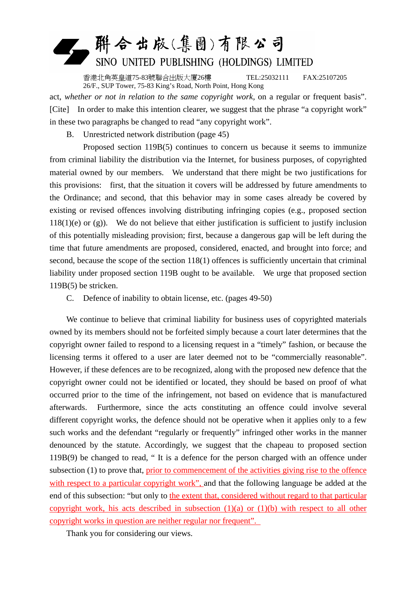## 聯合出版(集團)有限公司 SINO UNITED PUBLISHING (HOLDINGS) LIMITED

香港北角英皇道75-83號聯合出版大廈26樓 TEL:25032111 FAX:25107205 26/F., SUP Tower, 75-83 King's Road, North Point, Hong Kong

act, *whether or not in relation to the same copyright work,* on a regular or frequent basis". [Cite] In order to make this intention clearer, we suggest that the phrase "a copyright work" in these two paragraphs be changed to read "any copyright work".

B. Unrestricted network distribution (page 45)

 Proposed section 119B(5) continues to concern us because it seems to immunize from criminal liability the distribution via the Internet, for business purposes, of copyrighted material owned by our members. We understand that there might be two justifications for this provisions: first, that the situation it covers will be addressed by future amendments to the Ordinance; and second, that this behavior may in some cases already be covered by existing or revised offences involving distributing infringing copies (e.g., proposed section  $118(1)(e)$  or (g)). We do not believe that either justification is sufficient to justify inclusion of this potentially misleading provision; first, because a dangerous gap will be left during the time that future amendments are proposed, considered, enacted, and brought into force; and second, because the scope of the section 118(1) offences is sufficiently uncertain that criminal liability under proposed section 119B ought to be available. We urge that proposed section 119B(5) be stricken.

C. Defence of inability to obtain license, etc. (pages 49-50)

We continue to believe that criminal liability for business uses of copyrighted materials owned by its members should not be forfeited simply because a court later determines that the copyright owner failed to respond to a licensing request in a "timely" fashion, or because the licensing terms it offered to a user are later deemed not to be "commercially reasonable". However, if these defences are to be recognized, along with the proposed new defence that the copyright owner could not be identified or located, they should be based on proof of what occurred prior to the time of the infringement, not based on evidence that is manufactured afterwards. Furthermore, since the acts constituting an offence could involve several different copyright works, the defence should not be operative when it applies only to a few such works and the defendant "regularly or frequently" infringed other works in the manner denounced by the statute. Accordingly, we suggest that the chapeau to proposed section 119B(9) be changed to read, " It is a defence for the person charged with an offence under subsection (1) to prove that, prior to commencement of the activities giving rise to the offence with respect to a particular copyright work", and that the following language be added at the end of this subsection: "but only to the extent that, considered without regard to that particular copyright work, his acts described in subsection  $(1)(a)$  or  $(1)(b)$  with respect to all other copyright works in question are neither regular nor frequent".

Thank you for considering our views.